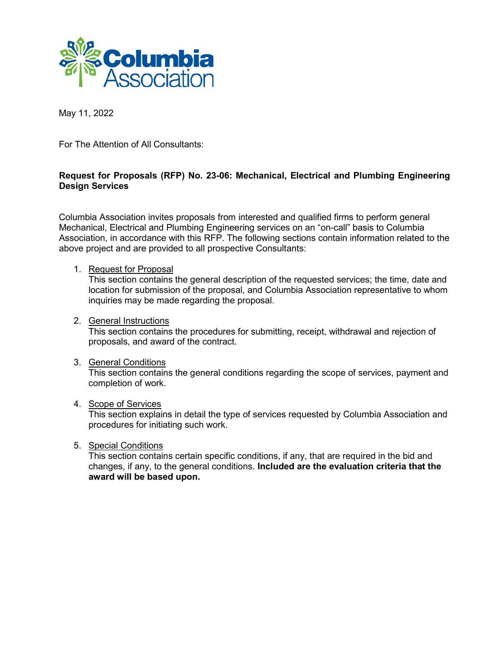

May 11, 2022

For The Attention of All Consultants:

# **Request for Proposals (RFP) No. 23-06: Mechanical, Electrical and Plumbing Engineering Design Services**

Columbia Association invites proposals from interested and qualified firms to perform general Mechanical, Electrical and Plumbing Engineering services on an "on-call" basis to Columbia Association, in accordance with this RFP. The following sections contain information related to the above project and are provided to all prospective Consultants:

## 1. Request for Proposal

This section contains the general description of the requested services; the time, date and location for submission of the proposal, and Columbia Association representative to whom inquiries may be made regarding the proposal.

## 2. General Instructions

This section contains the procedures for submitting, receipt, withdrawal and rejection of proposals, and award of the contract.

### 3. General Conditions

This section contains the general conditions regarding the scope of services, payment and completion of work.

## 4. Scope of Services

This section explains in detail the type of services requested by Columbia Association and procedures for initiating such work.

## 5. Special Conditions

This section contains certain specific conditions, if any, that are required in the bid and changes, if any, to the general conditions. **Included are the evaluation criteria that the award will be based upon.**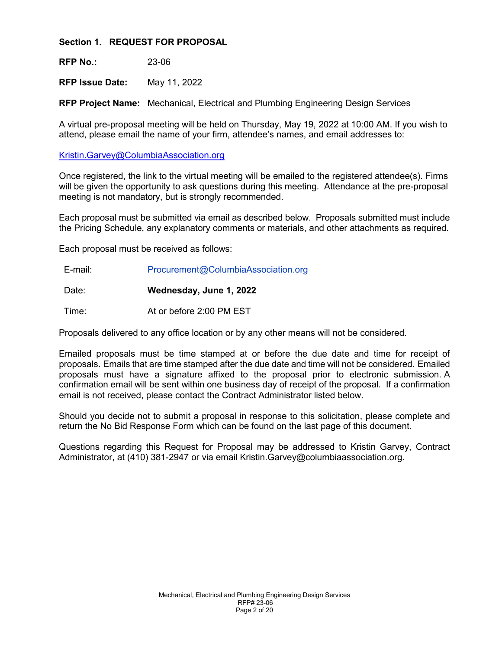**Section 1. REQUEST FOR PROPOSAL**

**RFP No.:** 23-06

**RFP Issue Date:** May 11, 2022

**RFP Project Name:** Mechanical, Electrical and Plumbing Engineering Design Services

A virtual pre-proposal meeting will be held on Thursday, May 19, 2022 at 10:00 AM. If you wish to attend, please email the name of your firm, attendee's names, and email addresses to:

[Kristin.Garvey@ColumbiaAssociation.org](mailto:Kristin.Garvey@ColumbiaAssociation.org)

Once registered, the link to the virtual meeting will be emailed to the registered attendee(s). Firms will be given the opportunity to ask questions during this meeting. Attendance at the pre-proposal meeting is not mandatory, but is strongly recommended.

Each proposal must be submitted via email as described below. Proposals submitted must include the Pricing Schedule, any explanatory comments or materials, and other attachments as required.

Each proposal must be received as follows:

E-mail: Procurement@ColumbiaAssociation.org

Date: **Wednesday, June 1, 2022**

Time: At or before 2:00 PM EST

Proposals delivered to any office location or by any other means will not be considered.

Emailed proposals must be time stamped at or before the due date and time for receipt of proposals. Emails that are time stamped after the due date and time will not be considered. Emailed proposals must have a signature affixed to the proposal prior to electronic submission. A confirmation email will be sent within one business day of receipt of the proposal. If a confirmation email is not received, please contact the Contract Administrator listed below.

Should you decide not to submit a proposal in response to this solicitation, please complete and return the No Bid Response Form which can be found on the last page of this document.

Questions regarding this Request for Proposal may be addressed to Kristin Garvey, Contract Administrator, at (410) 381-2947 or via email Kristin.Garvey@columbiaassociation.org.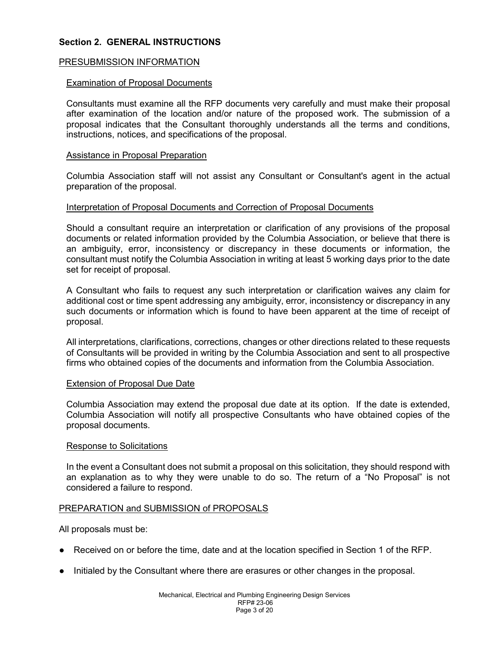## **Section 2. GENERAL INSTRUCTIONS**

### PRESUBMISSION INFORMATION

#### Examination of Proposal Documents

Consultants must examine all the RFP documents very carefully and must make their proposal after examination of the location and/or nature of the proposed work. The submission of a proposal indicates that the Consultant thoroughly understands all the terms and conditions, instructions, notices, and specifications of the proposal.

#### Assistance in Proposal Preparation

Columbia Association staff will not assist any Consultant or Consultant's agent in the actual preparation of the proposal.

#### Interpretation of Proposal Documents and Correction of Proposal Documents

Should a consultant require an interpretation or clarification of any provisions of the proposal documents or related information provided by the Columbia Association, or believe that there is an ambiguity, error, inconsistency or discrepancy in these documents or information, the consultant must notify the Columbia Association in writing at least 5 working days prior to the date set for receipt of proposal.

A Consultant who fails to request any such interpretation or clarification waives any claim for additional cost or time spent addressing any ambiguity, error, inconsistency or discrepancy in any such documents or information which is found to have been apparent at the time of receipt of proposal.

All interpretations, clarifications, corrections, changes or other directions related to these requests of Consultants will be provided in writing by the Columbia Association and sent to all prospective firms who obtained copies of the documents and information from the Columbia Association.

#### Extension of Proposal Due Date

Columbia Association may extend the proposal due date at its option. If the date is extended, Columbia Association will notify all prospective Consultants who have obtained copies of the proposal documents.

#### Response to Solicitations

In the event a Consultant does not submit a proposal on this solicitation, they should respond with an explanation as to why they were unable to do so. The return of a "No Proposal" is not considered a failure to respond.

### PREPARATION and SUBMISSION of PROPOSALS

All proposals must be:

- Received on or before the time, date and at the location specified in Section 1 of the RFP.
- Initialed by the Consultant where there are erasures or other changes in the proposal.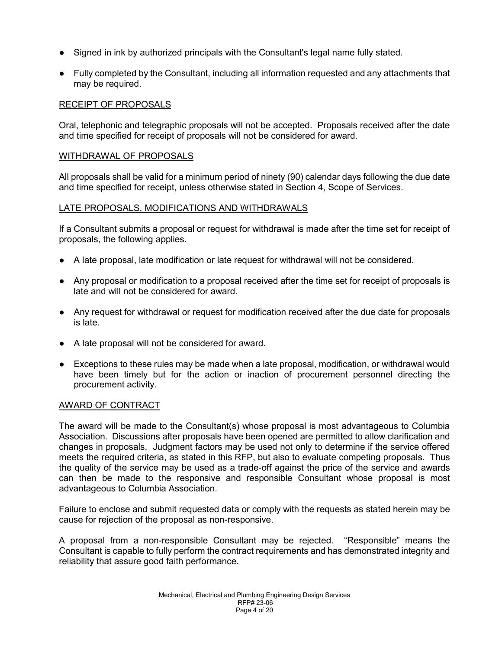- Signed in ink by authorized principals with the Consultant's legal name fully stated.
- Fully completed by the Consultant, including all information requested and any attachments that may be required.

## RECEIPT OF PROPOSALS

Oral, telephonic and telegraphic proposals will not be accepted. Proposals received after the date and time specified for receipt of proposals will not be considered for award.

### WITHDRAWAL OF PROPOSALS

All proposals shall be valid for a minimum period of ninety (90) calendar days following the due date and time specified for receipt, unless otherwise stated in Section 4, Scope of Services.

### LATE PROPOSALS, MODIFICATIONS AND WITHDRAWALS

If a Consultant submits a proposal or request for withdrawal is made after the time set for receipt of proposals, the following applies.

- A late proposal, late modification or late request for withdrawal will not be considered.
- Any proposal or modification to a proposal received after the time set for receipt of proposals is late and will not be considered for award.
- Any request for withdrawal or request for modification received after the due date for proposals is late.
- A late proposal will not be considered for award.
- Exceptions to these rules may be made when a late proposal, modification, or withdrawal would have been timely but for the action or inaction of procurement personnel directing the procurement activity.

### AWARD OF CONTRACT

The award will be made to the Consultant(s) whose proposal is most advantageous to Columbia Association. Discussions after proposals have been opened are permitted to allow clarification and changes in proposals. Judgment factors may be used not only to determine if the service offered meets the required criteria, as stated in this RFP, but also to evaluate competing proposals. Thus the quality of the service may be used as a trade-off against the price of the service and awards can then be made to the responsive and responsible Consultant whose proposal is most advantageous to Columbia Association.

Failure to enclose and submit requested data or comply with the requests as stated herein may be cause for rejection of the proposal as non-responsive.

A proposal from a non-responsible Consultant may be rejected. "Responsible" means the Consultant is capable to fully perform the contract requirements and has demonstrated integrity and reliability that assure good faith performance.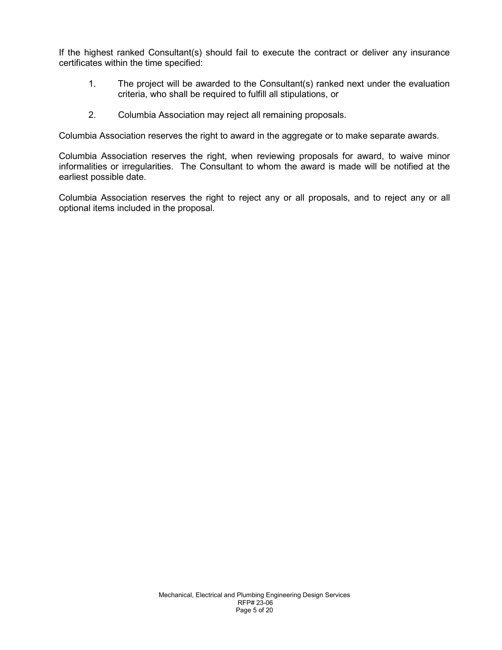If the highest ranked Consultant(s) should fail to execute the contract or deliver any insurance certificates within the time specified:

- 1. The project will be awarded to the Consultant(s) ranked next under the evaluation criteria, who shall be required to fulfill all stipulations, or
- 2. Columbia Association may reject all remaining proposals.

Columbia Association reserves the right to award in the aggregate or to make separate awards.

Columbia Association reserves the right, when reviewing proposals for award, to waive minor informalities or irregularities. The Consultant to whom the award is made will be notified at the earliest possible date.

Columbia Association reserves the right to reject any or all proposals, and to reject any or all optional items included in the proposal.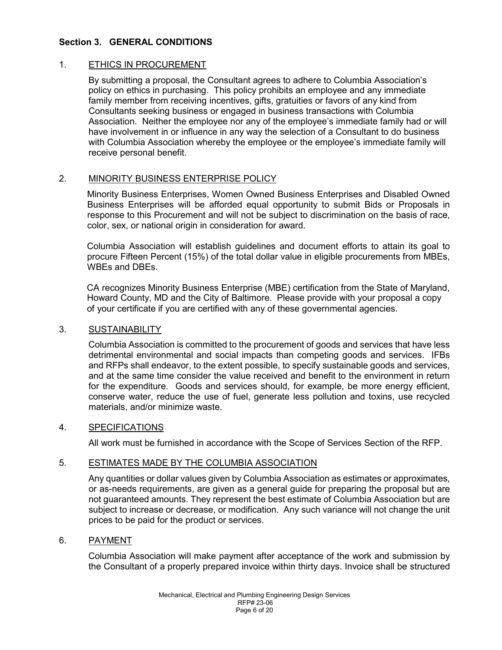## **Section 3. GENERAL CONDITIONS**

## 1. ETHICS IN PROCUREMENT

By submitting a proposal, the Consultant agrees to adhere to Columbia Association's policy on ethics in purchasing. This policy prohibits an employee and any immediate family member from receiving incentives, gifts, gratuities or favors of any kind from Consultants seeking business or engaged in business transactions with Columbia Association. Neither the employee nor any of the employee's immediate family had or will have involvement in or influence in any way the selection of a Consultant to do business with Columbia Association whereby the employee or the employee's immediate family will receive personal benefit.

## 2. MINORITY BUSINESS ENTERPRISE POLICY

Minority Business Enterprises, Women Owned Business Enterprises and Disabled Owned Business Enterprises will be afforded equal opportunity to submit Bids or Proposals in response to this Procurement and will not be subject to discrimination on the basis of race, color, sex, or national origin in consideration for award.

Columbia Association will establish guidelines and document efforts to attain its goal to procure Fifteen Percent (15%) of the total dollar value in eligible procurements from MBEs, WBEs and DBEs.

CA recognizes Minority Business Enterprise (MBE) certification from the State of Maryland, Howard County, MD and the City of Baltimore. Please provide with your proposal a copy of your certificate if you are certified with any of these governmental agencies.

### 3. SUSTAINABILITY

Columbia Association is committed to the procurement of goods and services that have less detrimental environmental and social impacts than competing goods and services. IFBs and RFPs shall endeavor, to the extent possible, to specify sustainable goods and services, and at the same time consider the value received and benefit to the environment in return for the expenditure. Goods and services should, for example, be more energy efficient, conserve water, reduce the use of fuel, generate less pollution and toxins, use recycled materials, and/or minimize waste.

### 4. SPECIFICATIONS

All work must be furnished in accordance with the Scope of Services Section of the RFP.

### 5. ESTIMATES MADE BY THE COLUMBIA ASSOCIATION

Any quantities or dollar values given by Columbia Association as estimates or approximates, or as-needs requirements, are given as a general guide for preparing the proposal but are not guaranteed amounts. They represent the best estimate of Columbia Association but are subject to increase or decrease, or modification. Any such variance will not change the unit prices to be paid for the product or services.

### 6. PAYMENT

Columbia Association will make payment after acceptance of the work and submission by the Consultant of a properly prepared invoice within thirty days. Invoice shall be structured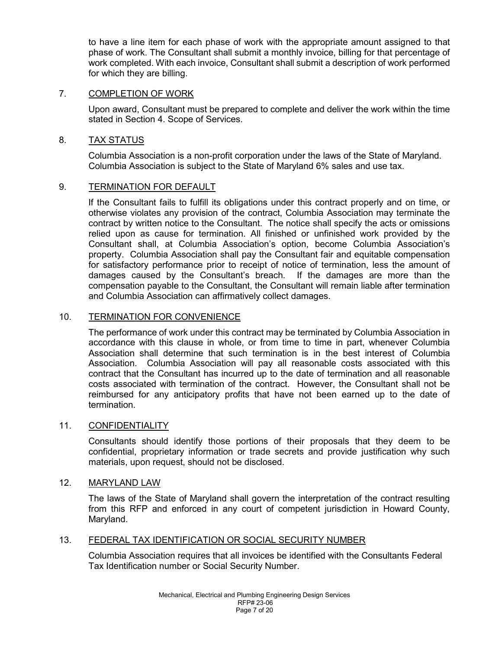to have a line item for each phase of work with the appropriate amount assigned to that phase of work. The Consultant shall submit a monthly invoice, billing for that percentage of work completed. With each invoice, Consultant shall submit a description of work performed for which they are billing.

## 7. COMPLETION OF WORK

Upon award, Consultant must be prepared to complete and deliver the work within the time stated in Section 4. Scope of Services.

## 8. TAX STATUS

Columbia Association is a non-profit corporation under the laws of the State of Maryland. Columbia Association is subject to the State of Maryland 6% sales and use tax.

## 9. TERMINATION FOR DEFAULT

If the Consultant fails to fulfill its obligations under this contract properly and on time, or otherwise violates any provision of the contract, Columbia Association may terminate the contract by written notice to the Consultant. The notice shall specify the acts or omissions relied upon as cause for termination. All finished or unfinished work provided by the Consultant shall, at Columbia Association's option, become Columbia Association's property. Columbia Association shall pay the Consultant fair and equitable compensation for satisfactory performance prior to receipt of notice of termination, less the amount of damages caused by the Consultant's breach. If the damages are more than the compensation payable to the Consultant, the Consultant will remain liable after termination and Columbia Association can affirmatively collect damages.

## 10. TERMINATION FOR CONVENIENCE

The performance of work under this contract may be terminated by Columbia Association in accordance with this clause in whole, or from time to time in part, whenever Columbia Association shall determine that such termination is in the best interest of Columbia Association. Columbia Association will pay all reasonable costs associated with this contract that the Consultant has incurred up to the date of termination and all reasonable costs associated with termination of the contract. However, the Consultant shall not be reimbursed for any anticipatory profits that have not been earned up to the date of termination.

### 11. CONFIDENTIALITY

Consultants should identify those portions of their proposals that they deem to be confidential, proprietary information or trade secrets and provide justification why such materials, upon request, should not be disclosed.

### 12. MARYLAND LAW

The laws of the State of Maryland shall govern the interpretation of the contract resulting from this RFP and enforced in any court of competent jurisdiction in Howard County, Maryland.

### 13. FEDERAL TAX IDENTIFICATION OR SOCIAL SECURITY NUMBER

Columbia Association requires that all invoices be identified with the Consultants Federal Tax Identification number or Social Security Number.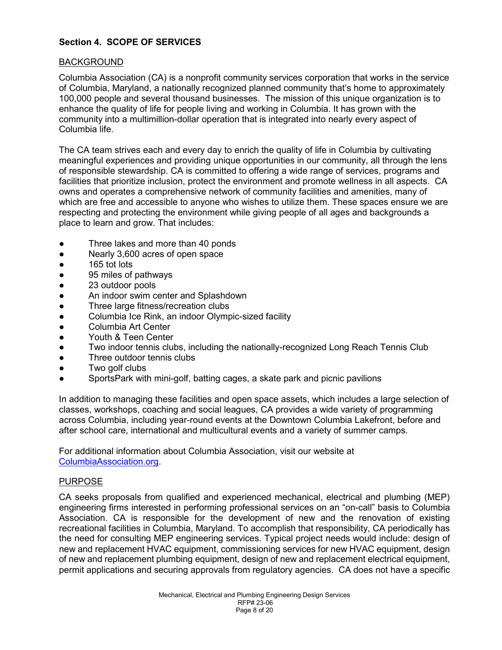# **Section 4. SCOPE OF SERVICES**

## BACKGROUND

Columbia Association (CA) is a nonprofit community services corporation that works in the service of Columbia, Maryland, a nationally recognized planned community that's home to approximately 100,000 people and several thousand businesses. The mission of this unique organization is to enhance the quality of life for people living and working in Columbia. It has grown with the community into a multimillion-dollar operation that is integrated into nearly every aspect of Columbia life.

The CA team strives each and every day to enrich the quality of life in Columbia by cultivating meaningful experiences and providing unique opportunities in our community, all through the lens of responsible stewardship. CA is committed to offering a wide range of services, programs and facilities that prioritize inclusion, protect the environment and promote wellness in all aspects. CA owns and operates a comprehensive network of community facilities and amenities, many of which are free and accessible to anyone who wishes to utilize them. These spaces ensure we are respecting and protecting the environment while giving people of all ages and backgrounds a place to learn and grow. That includes:

- Three lakes and more than 40 ponds
- Nearly 3,600 acres of open space
- 165 tot lots
- 95 miles of pathways
- 23 outdoor pools
- An indoor swim center and Splashdown
- Three large fitness/recreation clubs
- Columbia Ice Rink, an indoor Olympic-sized facility
- Columbia Art Center
- Youth & Teen Center
- Two indoor tennis clubs, including the nationally-recognized Long Reach Tennis Club
- Three outdoor tennis clubs
- Two golf clubs
- SportsPark with mini-golf, batting cages, a skate park and picnic pavilions

In addition to managing these facilities and open space assets, which includes a large selection of classes, workshops, coaching and social leagues, CA provides a wide variety of programming across Columbia, including year-round events at the Downtown Columbia Lakefront, before and after school care, international and multicultural events and a variety of summer camps.

For additional information about Columbia Association, visit our website at [ColumbiaAssociation.org.](http://www.columbiaassociation.org/)

### PURPOSE

CA seeks proposals from qualified and experienced mechanical, electrical and plumbing (MEP) engineering firms interested in performing professional services on an "on-call" basis to Columbia Association. CA is responsible for the development of new and the renovation of existing recreational facilities in Columbia, Maryland. To accomplish that responsibility, CA periodically has the need for consulting MEP engineering services. Typical project needs would include: design of new and replacement HVAC equipment, commissioning services for new HVAC equipment, design of new and replacement plumbing equipment, design of new and replacement electrical equipment, permit applications and securing approvals from regulatory agencies. CA does not have a specific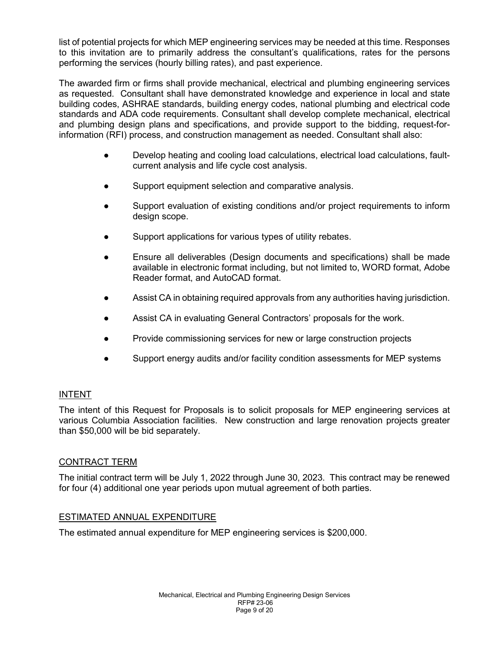list of potential projects for which MEP engineering services may be needed at this time. Responses to this invitation are to primarily address the consultant's qualifications, rates for the persons performing the services (hourly billing rates), and past experience.

The awarded firm or firms shall provide mechanical, electrical and plumbing engineering services as requested. Consultant shall have demonstrated knowledge and experience in local and state building codes, ASHRAE standards, building energy codes, national plumbing and electrical code standards and ADA code requirements. Consultant shall develop complete mechanical, electrical and plumbing design plans and specifications, and provide support to the bidding, request-forinformation (RFI) process, and construction management as needed. Consultant shall also:

- Develop heating and cooling load calculations, electrical load calculations, faultcurrent analysis and life cycle cost analysis.
- Support equipment selection and comparative analysis.
- Support evaluation of existing conditions and/or project requirements to inform design scope.
- Support applications for various types of utility rebates.
- Ensure all deliverables (Design documents and specifications) shall be made available in electronic format including, but not limited to, WORD format, Adobe Reader format, and AutoCAD format.
- Assist CA in obtaining required approvals from any authorities having jurisdiction.
- Assist CA in evaluating General Contractors' proposals for the work.
- Provide commissioning services for new or large construction projects
- Support energy audits and/or facility condition assessments for MEP systems

# INTENT

The intent of this Request for Proposals is to solicit proposals for MEP engineering services at various Columbia Association facilities. New construction and large renovation projects greater than \$50,000 will be bid separately.

# CONTRACT TERM

The initial contract term will be July 1, 2022 through June 30, 2023. This contract may be renewed for four (4) additional one year periods upon mutual agreement of both parties.

# ESTIMATED ANNUAL EXPENDITURE

The estimated annual expenditure for MEP engineering services is \$200,000.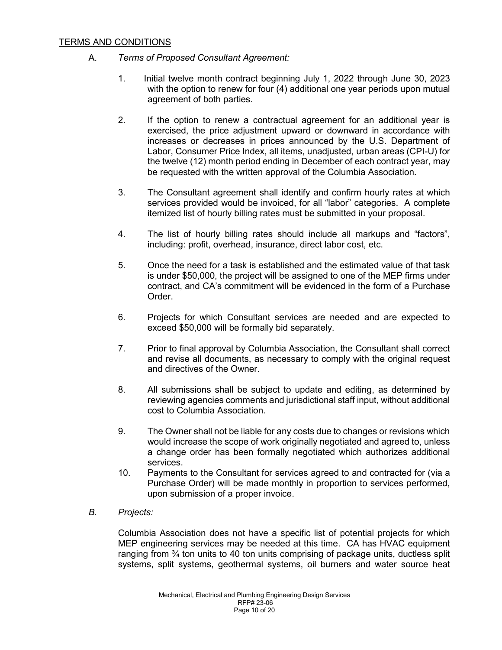## TERMS AND CONDITIONS

- A. *Terms of Proposed Consultant Agreement:*
	- 1. Initial twelve month contract beginning July 1, 2022 through June 30, 2023 with the option to renew for four (4) additional one year periods upon mutual agreement of both parties.
	- 2. If the option to renew a contractual agreement for an additional year is exercised, the price adjustment upward or downward in accordance with increases or decreases in prices announced by the U.S. Department of Labor, Consumer Price Index, all items, unadjusted, urban areas (CPI-U) for the twelve (12) month period ending in December of each contract year, may be requested with the written approval of the Columbia Association.
	- 3. The Consultant agreement shall identify and confirm hourly rates at which services provided would be invoiced, for all "labor" categories. A complete itemized list of hourly billing rates must be submitted in your proposal.
	- 4. The list of hourly billing rates should include all markups and "factors", including: profit, overhead, insurance, direct labor cost, etc.
	- 5. Once the need for a task is established and the estimated value of that task is under \$50,000, the project will be assigned to one of the MEP firms under contract, and CA's commitment will be evidenced in the form of a Purchase Order.
	- 6. Projects for which Consultant services are needed and are expected to exceed \$50,000 will be formally bid separately.
	- 7. Prior to final approval by Columbia Association, the Consultant shall correct and revise all documents, as necessary to comply with the original request and directives of the Owner.
	- 8. All submissions shall be subject to update and editing, as determined by reviewing agencies comments and jurisdictional staff input, without additional cost to Columbia Association.
	- 9. The Owner shall not be liable for any costs due to changes or revisions which would increase the scope of work originally negotiated and agreed to, unless a change order has been formally negotiated which authorizes additional services.
	- 10. Payments to the Consultant for services agreed to and contracted for (via a Purchase Order) will be made monthly in proportion to services performed, upon submission of a proper invoice.
- *B. Projects:*

Columbia Association does not have a specific list of potential projects for which MEP engineering services may be needed at this time. CA has HVAC equipment ranging from  $\frac{3}{4}$  ton units to 40 ton units comprising of package units, ductless split systems, split systems, geothermal systems, oil burners and water source heat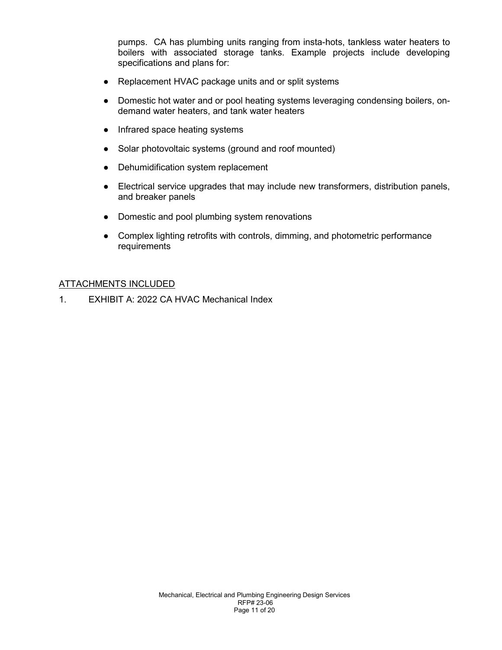pumps. CA has plumbing units ranging from insta-hots, tankless water heaters to boilers with associated storage tanks. Example projects include developing specifications and plans for:

- Replacement HVAC package units and or split systems
- Domestic hot water and or pool heating systems leveraging condensing boilers, ondemand water heaters, and tank water heaters
- Infrared space heating systems
- Solar photovoltaic systems (ground and roof mounted)
- Dehumidification system replacement
- Electrical service upgrades that may include new transformers, distribution panels, and breaker panels
- Domestic and pool plumbing system renovations
- Complex lighting retrofits with controls, dimming, and photometric performance requirements

## ATTACHMENTS INCLUDED

1. EXHIBIT A: 2022 CA HVAC Mechanical Index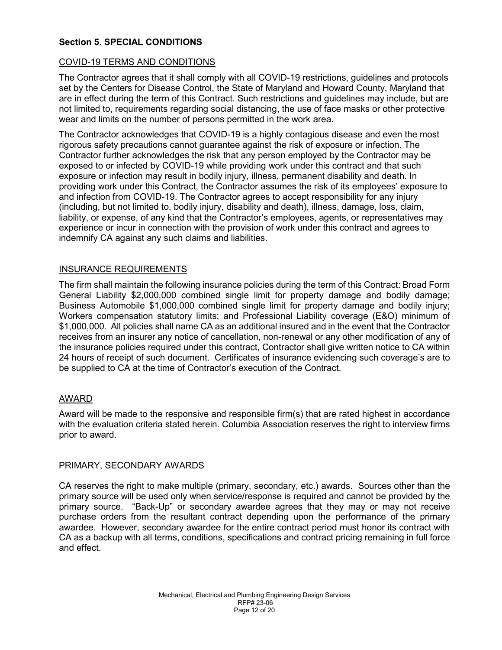## **Section 5. SPECIAL CONDITIONS**

### COVID-19 TERMS AND CONDITIONS

The Contractor agrees that it shall comply with all COVID-19 restrictions, guidelines and protocols set by the Centers for Disease Control, the State of Maryland and Howard County, Maryland that are in effect during the term of this Contract. Such restrictions and guidelines may include, but are not limited to, requirements regarding social distancing, the use of face masks or other protective wear and limits on the number of persons permitted in the work area.

The Contractor acknowledges that COVID-19 is a highly contagious disease and even the most rigorous safety precautions cannot guarantee against the risk of exposure or infection. The Contractor further acknowledges the risk that any person employed by the Contractor may be exposed to or infected by COVID-19 while providing work under this contract and that such exposure or infection may result in bodily injury, illness, permanent disability and death. In providing work under this Contract, the Contractor assumes the risk of its employees' exposure to and infection from COVID-19. The Contractor agrees to accept responsibility for any injury (including, but not limited to, bodily injury, disability and death), illness, damage, loss, claim, liability, or expense, of any kind that the Contractor's employees, agents, or representatives may experience or incur in connection with the provision of work under this contract and agrees to indemnify CA against any such claims and liabilities.

### INSURANCE REQUIREMENTS

The firm shall maintain the following insurance policies during the term of this Contract: Broad Form General Liability \$2,000,000 combined single limit for property damage and bodily damage; Business Automobile \$1,000,000 combined single limit for property damage and bodily injury; Workers compensation statutory limits; and Professional Liability coverage (E&O) minimum of \$1,000,000. All policies shall name CA as an additional insured and in the event that the Contractor receives from an insurer any notice of cancellation, non-renewal or any other modification of any of the insurance policies required under this contract, Contractor shall give written notice to CA within 24 hours of receipt of such document. Certificates of insurance evidencing such coverage's are to be supplied to CA at the time of Contractor's execution of the Contract.

### AWARD

Award will be made to the responsive and responsible firm(s) that are rated highest in accordance with the evaluation criteria stated herein. Columbia Association reserves the right to interview firms prior to award.

### PRIMARY, SECONDARY AWARDS

CA reserves the right to make multiple (primary, secondary, etc.) awards. Sources other than the primary source will be used only when service/response is required and cannot be provided by the primary source. "Back-Up" or secondary awardee agrees that they may or may not receive purchase orders from the resultant contract depending upon the performance of the primary awardee. However, secondary awardee for the entire contract period must honor its contract with CA as a backup with all terms, conditions, specifications and contract pricing remaining in full force and effect.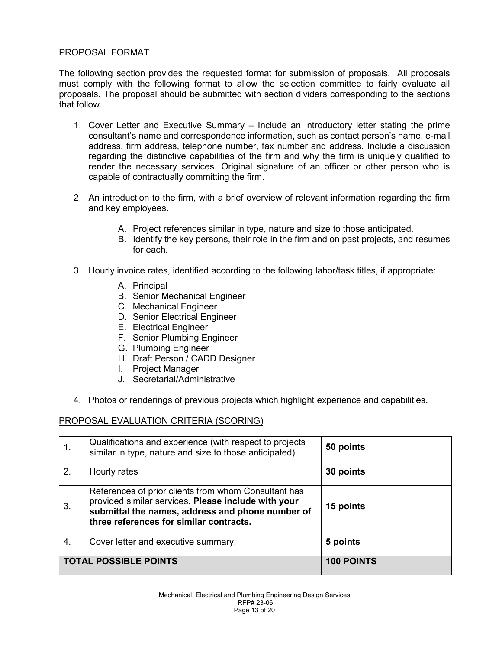## PROPOSAL FORMAT

The following section provides the requested format for submission of proposals. All proposals must comply with the following format to allow the selection committee to fairly evaluate all proposals. The proposal should be submitted with section dividers corresponding to the sections that follow.

- 1. Cover Letter and Executive Summary Include an introductory letter stating the prime consultant's name and correspondence information, such as contact person's name, e-mail address, firm address, telephone number, fax number and address. Include a discussion regarding the distinctive capabilities of the firm and why the firm is uniquely qualified to render the necessary services. Original signature of an officer or other person who is capable of contractually committing the firm.
- 2. An introduction to the firm, with a brief overview of relevant information regarding the firm and key employees.
	- A. Project references similar in type, nature and size to those anticipated.
	- B. Identify the key persons, their role in the firm and on past projects, and resumes for each.
- 3. Hourly invoice rates, identified according to the following labor/task titles, if appropriate:
	- A. Principal
	- B. Senior Mechanical Engineer
	- C. Mechanical Engineer
	- D. Senior Electrical Engineer
	- E. Electrical Engineer
	- F. Senior Plumbing Engineer
	- G. Plumbing Engineer
	- H. Draft Person / CADD Designer
	- I. Project Manager
	- J. Secretarial/Administrative
- 4. Photos or renderings of previous projects which highlight experience and capabilities.

### PROPOSAL EVALUATION CRITERIA (SCORING)

|                              | Qualifications and experience (with respect to projects<br>similar in type, nature and size to those anticipated).                                                                                         | 50 points         |
|------------------------------|------------------------------------------------------------------------------------------------------------------------------------------------------------------------------------------------------------|-------------------|
| 2.                           | Hourly rates                                                                                                                                                                                               | 30 points         |
| 3.                           | References of prior clients from whom Consultant has<br>provided similar services. Please include with your<br>submittal the names, address and phone number of<br>three references for similar contracts. | 15 points         |
| 4.                           | Cover letter and executive summary.                                                                                                                                                                        | 5 points          |
| <b>TOTAL POSSIBLE POINTS</b> |                                                                                                                                                                                                            | <b>100 POINTS</b> |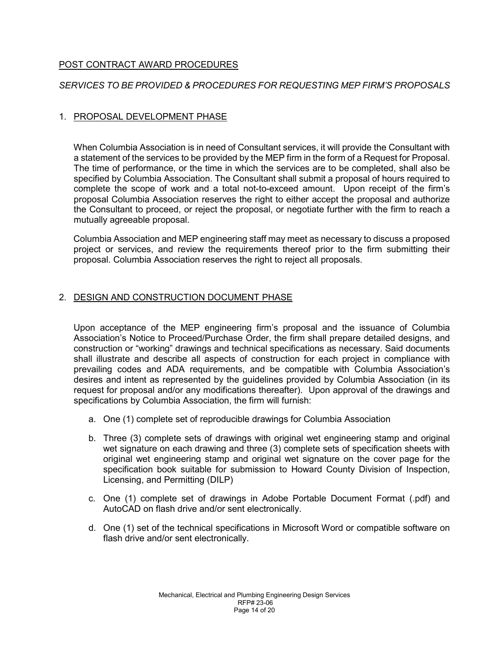# POST CONTRACT AWARD PROCEDURES

# *SERVICES TO BE PROVIDED & PROCEDURES FOR REQUESTING MEP FIRM'S PROPOSALS*

# 1. PROPOSAL DEVELOPMENT PHASE

When Columbia Association is in need of Consultant services, it will provide the Consultant with a statement of the services to be provided by the MEP firm in the form of a Request for Proposal. The time of performance, or the time in which the services are to be completed, shall also be specified by Columbia Association. The Consultant shall submit a proposal of hours required to complete the scope of work and a total not-to-exceed amount. Upon receipt of the firm's proposal Columbia Association reserves the right to either accept the proposal and authorize the Consultant to proceed, or reject the proposal, or negotiate further with the firm to reach a mutually agreeable proposal.

Columbia Association and MEP engineering staff may meet as necessary to discuss a proposed project or services, and review the requirements thereof prior to the firm submitting their proposal. Columbia Association reserves the right to reject all proposals.

## 2. DESIGN AND CONSTRUCTION DOCUMENT PHASE

Upon acceptance of the MEP engineering firm's proposal and the issuance of Columbia Association's Notice to Proceed/Purchase Order, the firm shall prepare detailed designs, and construction or "working" drawings and technical specifications as necessary. Said documents shall illustrate and describe all aspects of construction for each project in compliance with prevailing codes and ADA requirements, and be compatible with Columbia Association's desires and intent as represented by the guidelines provided by Columbia Association (in its request for proposal and/or any modifications thereafter). Upon approval of the drawings and specifications by Columbia Association, the firm will furnish:

- a. One (1) complete set of reproducible drawings for Columbia Association
- b. Three (3) complete sets of drawings with original wet engineering stamp and original wet signature on each drawing and three (3) complete sets of specification sheets with original wet engineering stamp and original wet signature on the cover page for the specification book suitable for submission to Howard County Division of Inspection, Licensing, and Permitting (DILP)
- c. One (1) complete set of drawings in Adobe Portable Document Format (.pdf) and AutoCAD on flash drive and/or sent electronically.
- d. One (1) set of the technical specifications in Microsoft Word or compatible software on flash drive and/or sent electronically.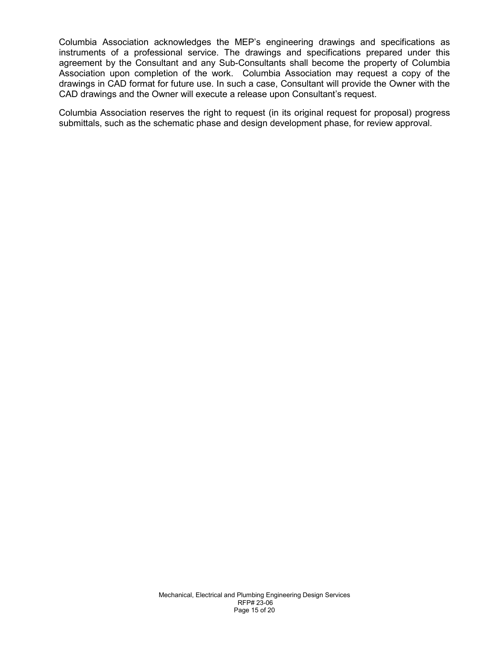Columbia Association acknowledges the MEP's engineering drawings and specifications as instruments of a professional service. The drawings and specifications prepared under this agreement by the Consultant and any Sub-Consultants shall become the property of Columbia Association upon completion of the work. Columbia Association may request a copy of the drawings in CAD format for future use. In such a case, Consultant will provide the Owner with the CAD drawings and the Owner will execute a release upon Consultant's request.

Columbia Association reserves the right to request (in its original request for proposal) progress submittals, such as the schematic phase and design development phase, for review approval.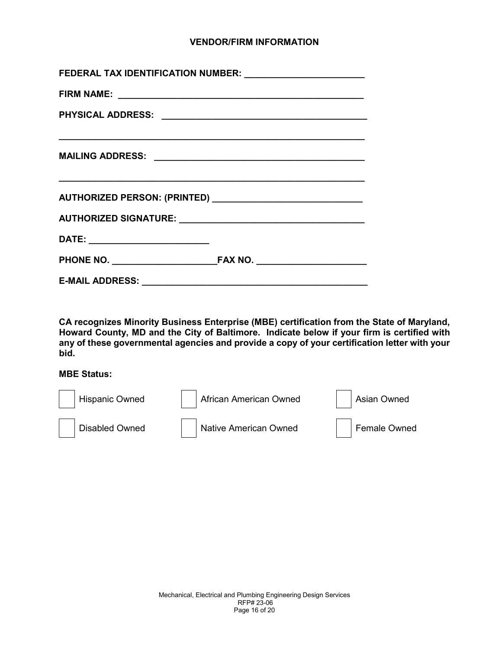## **VENDOR/FIRM INFORMATION**

| FEDERAL TAX IDENTIFICATION NUMBER: _________________________                                                         |  |  |  |  |
|----------------------------------------------------------------------------------------------------------------------|--|--|--|--|
|                                                                                                                      |  |  |  |  |
|                                                                                                                      |  |  |  |  |
| <u> 1989 - Johann John Harry Harry Harry Harry Harry Harry Harry Harry Harry Harry Harry Harry Harry Harry Harry</u> |  |  |  |  |
|                                                                                                                      |  |  |  |  |
|                                                                                                                      |  |  |  |  |
|                                                                                                                      |  |  |  |  |
|                                                                                                                      |  |  |  |  |
|                                                                                                                      |  |  |  |  |

**CA recognizes Minority Business Enterprise (MBE) certification from the State of Maryland, Howard County, MD and the City of Baltimore. Indicate below if your firm is certified with any of these governmental agencies and provide a copy of your certification letter with your bid.** 

#### **MBE Status:**

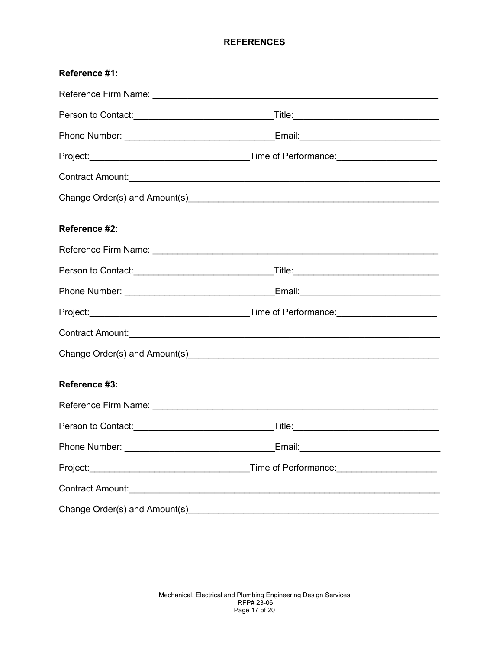## **REFERENCES**

| Reference #1:                                                                                                                                                                                                                       |  |  |  |  |
|-------------------------------------------------------------------------------------------------------------------------------------------------------------------------------------------------------------------------------------|--|--|--|--|
|                                                                                                                                                                                                                                     |  |  |  |  |
| Person to Contact: <u>______________________________</u>                                                                                                                                                                            |  |  |  |  |
|                                                                                                                                                                                                                                     |  |  |  |  |
|                                                                                                                                                                                                                                     |  |  |  |  |
| Contract Amount: <u>Contract Amount: Contract Amount: Contract Amount: Contract Amount: Contract Amount:</u>                                                                                                                        |  |  |  |  |
|                                                                                                                                                                                                                                     |  |  |  |  |
| Reference #2:                                                                                                                                                                                                                       |  |  |  |  |
|                                                                                                                                                                                                                                     |  |  |  |  |
|                                                                                                                                                                                                                                     |  |  |  |  |
|                                                                                                                                                                                                                                     |  |  |  |  |
|                                                                                                                                                                                                                                     |  |  |  |  |
| Contract Amount: <u>Contract Amount: Contract Amount: Contract Amount: Contract Amount: Contract Amount:</u>                                                                                                                        |  |  |  |  |
|                                                                                                                                                                                                                                     |  |  |  |  |
| Reference #3:                                                                                                                                                                                                                       |  |  |  |  |
|                                                                                                                                                                                                                                     |  |  |  |  |
| Person to Contact: <u>contact:</u> contact: contact: contact: contact: contact: contact: contact: contact: contact: contact: contact: contact: contact: contact: contact: contact: contact: contact: contact: contact: contact: con |  |  |  |  |
|                                                                                                                                                                                                                                     |  |  |  |  |
|                                                                                                                                                                                                                                     |  |  |  |  |
|                                                                                                                                                                                                                                     |  |  |  |  |
|                                                                                                                                                                                                                                     |  |  |  |  |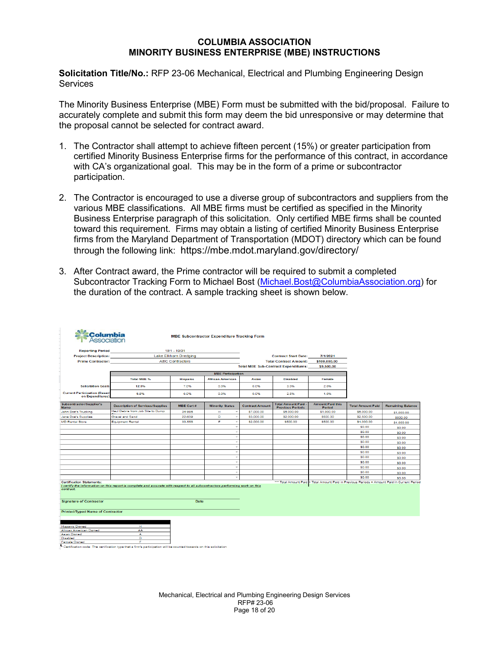#### **COLUMBIA ASSOCIATION MINORITY BUSINESS ENTERPRISE (MBE) INSTRUCTIONS**

**Solicitation Title/No.:** RFP 23-06 Mechanical, Electrical and Plumbing Engineering Design **Services** 

The Minority Business Enterprise (MBE) Form must be submitted with the bid/proposal. Failure to accurately complete and submit this form may deem the bid unresponsive or may determine that the proposal cannot be selected for contract award.

- 1. The Contractor shall attempt to achieve fifteen percent (15%) or greater participation from certified Minority Business Enterprise firms for the performance of this contract, in accordance with CA's organizational goal. This may be in the form of a prime or subcontractor participation.
- 2. The Contractor is encouraged to use a diverse group of subcontractors and suppliers from the various MBE classifications. All MBE firms must be certified as specified in the Minority Business Enterprise paragraph of this solicitation. Only certified MBE firms shall be counted toward this requirement. Firms may obtain a listing of certified Minority Business Enterprise firms from the Maryland Department of Transportation (MDOT) directory which can be found through the following link: <https://mbe.mdot.maryland.gov/directory/>
- 3. After Contract award, the Prime contractor will be required to submit a completed Subcontractor Tracking Form to Michael Bost [\(Michael.Bost@ColumbiaAssociation.org\)](mailto:Michael.Bost@ColumbiaAssociation.org) for the duration of the contract. A sample tracking sheet is shown below.

| <b><i><u><sup>SM</sup></u></i></b> Columbia                                                                                                                                                                                                                                    |                                                                                                                     |                              | <b>MBE Subcontractor Expenditure Tracking Form</b> |                        |                                                     |                                   |                          |                          |
|--------------------------------------------------------------------------------------------------------------------------------------------------------------------------------------------------------------------------------------------------------------------------------|---------------------------------------------------------------------------------------------------------------------|------------------------------|----------------------------------------------------|------------------------|-----------------------------------------------------|-----------------------------------|--------------------------|--------------------------|
| <b>Reporting Period</b>                                                                                                                                                                                                                                                        |                                                                                                                     | $10/1 - 10/31$               |                                                    |                        |                                                     |                                   |                          |                          |
|                                                                                                                                                                                                                                                                                | <b>Project Description:</b>                                                                                         | <b>Lake Elkhorn Dredging</b> |                                                    |                        | <b>Contract Start Date:</b>                         | 7/1/2021                          |                          |                          |
| <b>Prime Contractor:</b>                                                                                                                                                                                                                                                       |                                                                                                                     | <b>ABC Contractors</b>       |                                                    |                        | <b>Total Contract Amount:</b>                       | \$100,000,00                      |                          |                          |
|                                                                                                                                                                                                                                                                                |                                                                                                                     |                              |                                                    |                        | <b>Total MBE Sub-Contract Expenditures:</b>         | \$9,500.00                        |                          |                          |
|                                                                                                                                                                                                                                                                                |                                                                                                                     |                              | <b>MBE Participation</b>                           |                        |                                                     |                                   |                          |                          |
|                                                                                                                                                                                                                                                                                | <b>Total MBE %</b>                                                                                                  | <b>Hispanic</b>              | <b>African American</b>                            | Asian                  | <b>Disabled</b>                                     | Female                            |                          |                          |
| <b>Solicitation Goals</b>                                                                                                                                                                                                                                                      | 12.0%                                                                                                               | 7.0%                         | 0.0%                                               | 0.0%                   | 3.0%                                                | 2.0%                              |                          |                          |
| <b>Current Participation (Based)</b><br>on Expenditures)                                                                                                                                                                                                                       | 9.5%                                                                                                                | 6.0%                         | 0.0%                                               | 0.0%                   | 2.5%                                                | 1.0%                              |                          |                          |
| Subcontractor/Supplier's<br>Name                                                                                                                                                                                                                                               | <b>Description of Services/Supplies</b>                                                                             | <b>MBE Cert#</b>             | <b>Minority Status</b>                             | <b>Contract Amount</b> | <b>Total Amount Paid</b><br><b>Previous Periods</b> | <b>Amount Paid this</b><br>Period | <b>Total Amount Paid</b> | <b>Remaining Balance</b> |
| John Doe's Trucking                                                                                                                                                                                                                                                            | Haul Debris from Job Site to Dump                                                                                   | 34-986                       | н<br>$\overline{\phantom{a}}$                      | \$7,000.00             | \$5,000.00                                          | \$1,000.00                        | \$6,000.00               | \$1,000.00               |
| Jane Doe's Supplies                                                                                                                                                                                                                                                            | Gravel and Sand                                                                                                     | 22-639                       | D<br>$\overline{\phantom{a}}$                      | \$3,000.00             | \$2,000.00                                          | \$500.00                          | \$2,500.00               | \$500.00                 |
| <b>MD Rental Store</b>                                                                                                                                                                                                                                                         | <b>Equipment Rental</b>                                                                                             | 33-556                       | F.<br>$\overline{\phantom{a}}$                     | \$2,000.00             | \$500.00                                            | \$500.00                          | \$1,000.00               | \$1,000.00               |
|                                                                                                                                                                                                                                                                                |                                                                                                                     |                              | $\overline{\phantom{a}}$                           |                        |                                                     |                                   | \$0.00                   | \$0.00                   |
|                                                                                                                                                                                                                                                                                |                                                                                                                     |                              | $\overline{\phantom{a}}$                           |                        |                                                     |                                   | \$0.00                   | SO.00                    |
|                                                                                                                                                                                                                                                                                |                                                                                                                     |                              | $\check{\phantom{a}}$                              |                        |                                                     |                                   | \$0.00                   | \$0.00                   |
|                                                                                                                                                                                                                                                                                |                                                                                                                     |                              | $\overline{\phantom{a}}$                           |                        |                                                     |                                   | \$0.00                   | <b>SO.00</b>             |
|                                                                                                                                                                                                                                                                                |                                                                                                                     |                              | $\overline{\phantom{a}}$                           |                        |                                                     |                                   | \$0.00                   | <b>SO.00</b>             |
|                                                                                                                                                                                                                                                                                |                                                                                                                     |                              | $\;$                                               |                        |                                                     |                                   | \$0.00                   | \$0.00                   |
|                                                                                                                                                                                                                                                                                |                                                                                                                     |                              | $\overline{\phantom{a}}$                           |                        |                                                     |                                   | \$0.00                   | \$0.00                   |
|                                                                                                                                                                                                                                                                                |                                                                                                                     |                              | ٠                                                  |                        |                                                     |                                   | \$0.00                   | \$0.00                   |
|                                                                                                                                                                                                                                                                                |                                                                                                                     |                              | ٠                                                  |                        |                                                     |                                   | \$0.00                   | \$0.00                   |
|                                                                                                                                                                                                                                                                                |                                                                                                                     |                              | $\overline{\phantom{a}}$                           |                        |                                                     |                                   | \$0.00                   | <b>SO.00</b>             |
|                                                                                                                                                                                                                                                                                |                                                                                                                     |                              | $\;$                                               |                        |                                                     |                                   | \$0.00                   | \$0.00                   |
| <b>Certification Statements:</b><br>*** Total Amount Paid = Total Amount Paid in Previous Periods + Amount Paid in Current Period<br>I certify the information on this report is complete and accurate with respect to all subcontractors performing work on this<br>contract. |                                                                                                                     |                              |                                                    |                        |                                                     |                                   |                          |                          |
| <b>Signature of Contractor</b><br>Date                                                                                                                                                                                                                                         |                                                                                                                     |                              |                                                    |                        |                                                     |                                   |                          |                          |
| <b>Printed/Typed Name of Contractor</b>                                                                                                                                                                                                                                        |                                                                                                                     |                              |                                                    |                        |                                                     |                                   |                          |                          |
|                                                                                                                                                                                                                                                                                |                                                                                                                     |                              |                                                    |                        |                                                     |                                   |                          |                          |
| <b>Hispanic Owned</b>                                                                                                                                                                                                                                                          | н                                                                                                                   |                              |                                                    |                        |                                                     |                                   |                          |                          |
| African American Owned                                                                                                                                                                                                                                                         | AA.                                                                                                                 |                              |                                                    |                        |                                                     |                                   |                          |                          |
| Asian Owned<br><b>Disabled</b>                                                                                                                                                                                                                                                 | A<br>D                                                                                                              |                              |                                                    |                        |                                                     |                                   |                          |                          |
| Female Owned                                                                                                                                                                                                                                                                   | F                                                                                                                   |                              |                                                    |                        |                                                     |                                   |                          |                          |
|                                                                                                                                                                                                                                                                                | Certification code: The certification type that a firm's participation will be counted towards on this solicitation |                              |                                                    |                        |                                                     |                                   |                          |                          |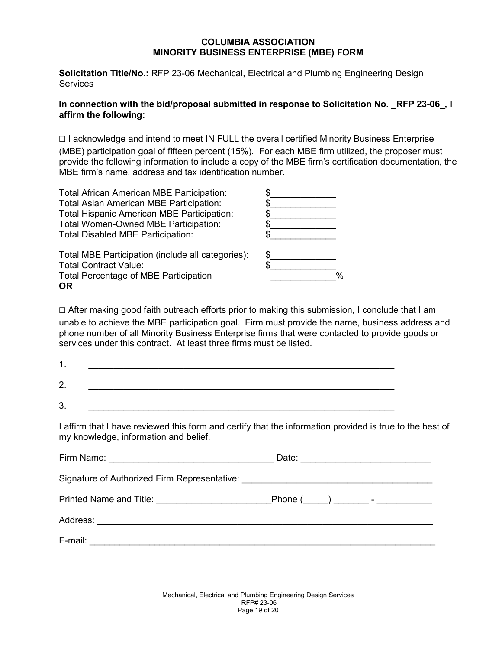### **COLUMBIA ASSOCIATION MINORITY BUSINESS ENTERPRISE (MBE) FORM**

**Solicitation Title/No.:** RFP 23-06 Mechanical, Electrical and Plumbing Engineering Design **Services** 

## **In connection with the bid/proposal submitted in response to Solicitation No. \_RFP 23-06\_, I affirm the following:**

☐ I acknowledge and intend to meet IN FULL the overall certified Minority Business Enterprise

(MBE) participation goal of fifteen percent (15%). For each MBE firm utilized, the proposer must provide the following information to include a copy of the MBE firm's certification documentation, the MBE firm's name, address and tax identification number.

| Total African American MBE Participation:         |   |
|---------------------------------------------------|---|
| Total Asian American MBE Participation:           |   |
| Total Hispanic American MBE Participation:        |   |
| Total Women-Owned MBE Participation:              |   |
| <b>Total Disabled MBE Participation:</b>          |   |
| Total MBE Participation (include all categories): |   |
| <b>Total Contract Value:</b>                      |   |
| <b>Total Percentage of MBE Participation</b>      | % |
| 0R                                                |   |

 $\Box$  After making good faith outreach efforts prior to making this submission, I conclude that I am unable to achieve the MBE participation goal. Firm must provide the name, business address and phone number of all Minority Business Enterprise firms that were contacted to provide goods or services under this contract. At least three firms must be listed.

| ⌒<br><u>. . </u> |  |  |
|------------------|--|--|
| ⌒<br><u>т</u>    |  |  |

I affirm that I have reviewed this form and certify that the information provided is true to the best of my knowledge, information and belief.

|                                                                                  | Date: __________________________ |
|----------------------------------------------------------------------------------|----------------------------------|
| Signature of Authorized Firm Representative: ___________________________________ |                                  |
|                                                                                  |                                  |
|                                                                                  |                                  |
|                                                                                  |                                  |